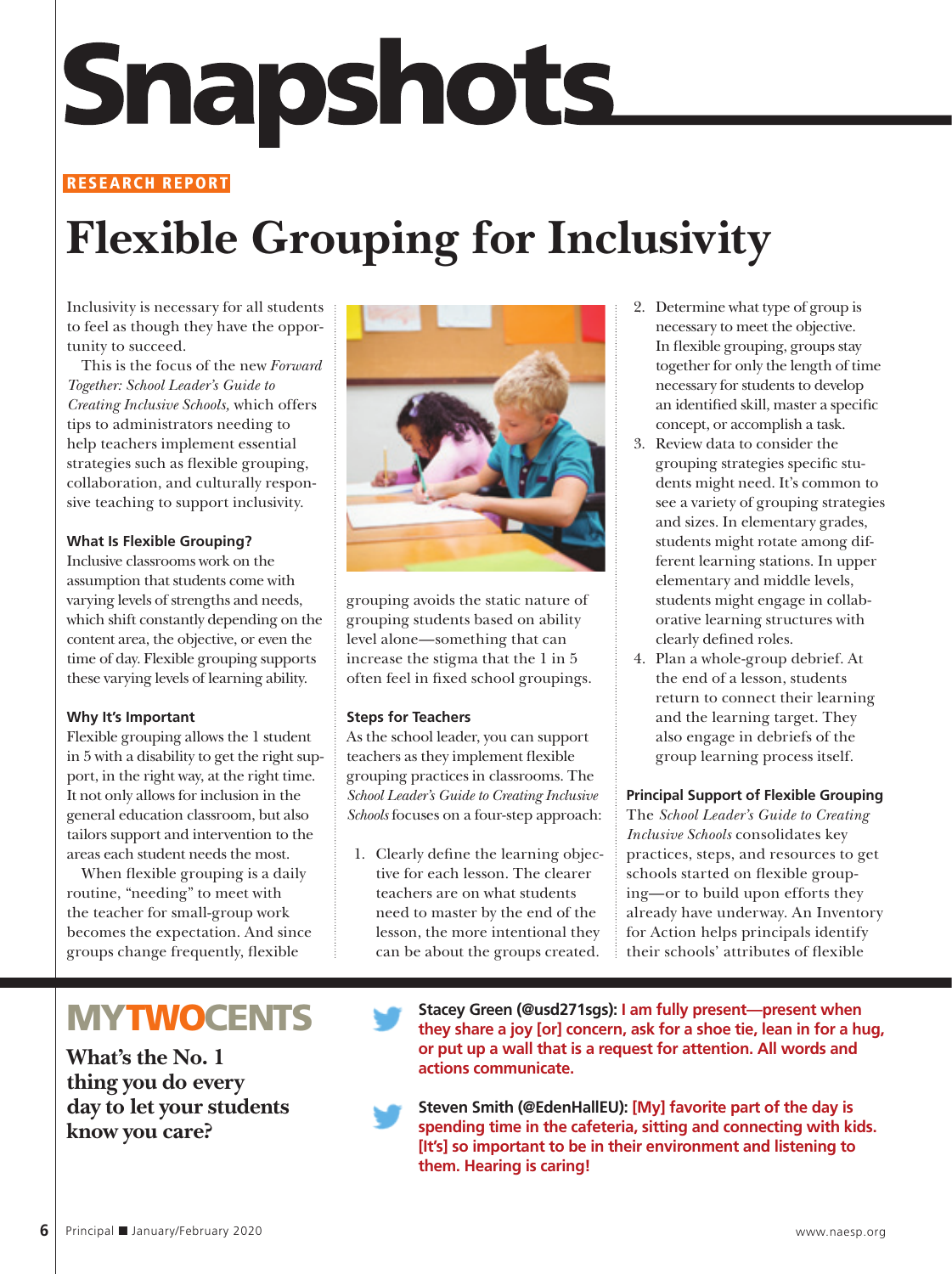# **Snapshots**

#### **RESEARCH REPORT**

## **Flexible Grouping for Inclusivity**

Inclusivity is necessary for all students to feel as though they have the opportunity to succeed.

This is the focus of the new *Forward Together: School Leader's Guide to Creating Inclusive Schools,* which offers tips to administrators needing to help teachers implement essential strategies such as flexible grouping, collaboration, and culturally responsive teaching to support inclusivity.

#### **What Is Flexible Grouping?**

Inclusive classrooms work on the assumption that students come with varying levels of strengths and needs, which shift constantly depending on the content area, the objective, or even the time of day. Flexible grouping supports these varying levels of learning ability.

#### **Why It's Important**

Flexible grouping allows the 1 student in 5 with a disability to get the right support, in the right way, at the right time. It not only allows for inclusion in the general education classroom, but also tailors support and intervention to the areas each student needs the most.

When flexible grouping is a daily routine, "needing" to meet with the teacher for small-group work becomes the expectation. And since groups change frequently, flexible



grouping avoids the static nature of grouping students based on ability level alone—something that can increase the stigma that the 1 in 5 often feel in fixed school groupings.

#### **Steps for Teachers**

As the school leader, you can support teachers as they implement flexible grouping practices in classrooms. The *School Leader's Guide to Creating Inclusive Schools* focuses on a four-step approach:

1. Clearly define the learning objective for each lesson. The clearer teachers are on what students need to master by the end of the lesson, the more intentional they can be about the groups created.

- 2. Determine what type of group is necessary to meet the objective. In flexible grouping, groups stay together for only the length of time necessary for students to develop an identified skill, master a specific concept, or accomplish a task.
- 3. Review data to consider the grouping strategies specific students might need. It's common to see a variety of grouping strategies and sizes. In elementary grades, students might rotate among different learning stations. In upper elementary and middle levels, students might engage in collaborative learning structures with clearly defined roles.
- 4. Plan a whole-group debrief. At the end of a lesson, students return to connect their learning and the learning target. They also engage in debriefs of the group learning process itself.

#### **Principal Support of Flexible Grouping**

The *School Leader's Guide to Creating Inclusive Schools* consolidates key practices, steps, and resources to get schools started on flexible grouping—or to build upon efforts they already have underway. An Inventory for Action helps principals identify their schools' attributes of flexible

### **MYTWOCENTS**

**What's the No. 1 thing you do every day to let your students know you care?** 

**Stacey Green (@usd271sgs): I am fully present—present when they share a joy [or] concern, ask for a shoe tie, lean in for a hug, or put up a wall that is a request for attention. All words and actions communicate.**

**Steven Smith (@EdenHallEU): [My] favorite part of the day is spending time in the cafeteria, sitting and connecting with kids. [It's] so important to be in their environment and listening to them. Hearing is caring!**